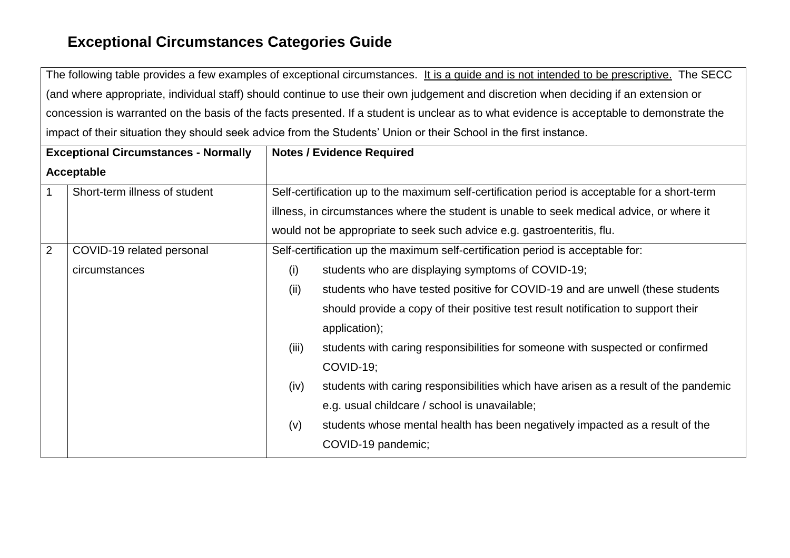The following table provides a few examples of exceptional circumstances. It is a guide and is not intended to be prescriptive. The SECC (and where appropriate, individual staff) should continue to use their own judgement and discretion when deciding if an extension or concession is warranted on the basis of the facts presented. If a student is unclear as to what evidence is acceptable to demonstrate the impact of their situation they should seek advice from the Students' Union or their School in the first instance.

| <b>Exceptional Circumstances - Normally</b> |                               |       | <b>Notes / Evidence Required</b>                                                                                                                                                           |
|---------------------------------------------|-------------------------------|-------|--------------------------------------------------------------------------------------------------------------------------------------------------------------------------------------------|
| Acceptable                                  |                               |       |                                                                                                                                                                                            |
| $\mathbf 1$                                 | Short-term illness of student |       | Self-certification up to the maximum self-certification period is acceptable for a short-term<br>illness, in circumstances where the student is unable to seek medical advice, or where it |
|                                             |                               |       | would not be appropriate to seek such advice e.g. gastroenteritis, flu.                                                                                                                    |
| $\overline{2}$                              | COVID-19 related personal     |       | Self-certification up the maximum self-certification period is acceptable for:                                                                                                             |
|                                             | circumstances                 | (i)   | students who are displaying symptoms of COVID-19;                                                                                                                                          |
|                                             |                               | (ii)  | students who have tested positive for COVID-19 and are unwell (these students                                                                                                              |
|                                             |                               |       | should provide a copy of their positive test result notification to support their                                                                                                          |
|                                             |                               |       | application);                                                                                                                                                                              |
|                                             |                               | (iii) | students with caring responsibilities for someone with suspected or confirmed                                                                                                              |
|                                             |                               |       | COVID-19;                                                                                                                                                                                  |
|                                             |                               | (iv)  | students with caring responsibilities which have arisen as a result of the pandemic                                                                                                        |
|                                             |                               |       | e.g. usual childcare / school is unavailable;                                                                                                                                              |
|                                             |                               | (v)   | students whose mental health has been negatively impacted as a result of the                                                                                                               |
|                                             |                               |       | COVID-19 pandemic;                                                                                                                                                                         |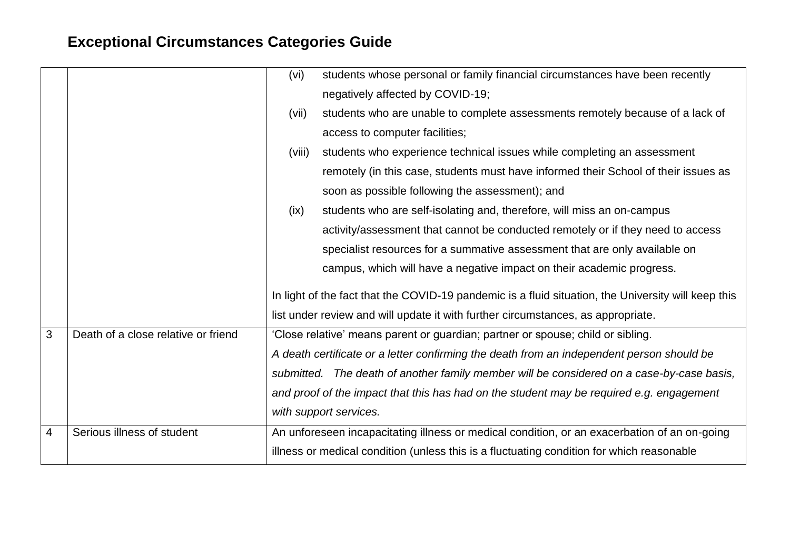|   |                                     | (vi)   | students whose personal or family financial circumstances have been recently                        |
|---|-------------------------------------|--------|-----------------------------------------------------------------------------------------------------|
|   |                                     |        | negatively affected by COVID-19;                                                                    |
|   |                                     | (vii)  | students who are unable to complete assessments remotely because of a lack of                       |
|   |                                     |        | access to computer facilities;                                                                      |
|   |                                     | (viii) | students who experience technical issues while completing an assessment                             |
|   |                                     |        | remotely (in this case, students must have informed their School of their issues as                 |
|   |                                     |        | soon as possible following the assessment); and                                                     |
|   |                                     | (ix)   | students who are self-isolating and, therefore, will miss an on-campus                              |
|   |                                     |        | activity/assessment that cannot be conducted remotely or if they need to access                     |
|   |                                     |        | specialist resources for a summative assessment that are only available on                          |
|   |                                     |        | campus, which will have a negative impact on their academic progress.                               |
|   |                                     |        | In light of the fact that the COVID-19 pandemic is a fluid situation, the University will keep this |
|   |                                     |        | list under review and will update it with further circumstances, as appropriate.                    |
| 3 | Death of a close relative or friend |        | 'Close relative' means parent or guardian; partner or spouse; child or sibling.                     |
|   |                                     |        | A death certificate or a letter confirming the death from an independent person should be           |
|   |                                     |        | submitted. The death of another family member will be considered on a case-by-case basis,           |
|   |                                     |        | and proof of the impact that this has had on the student may be required e.g. engagement            |
|   |                                     |        | with support services.                                                                              |
| 4 | Serious illness of student          |        | An unforeseen incapacitating illness or medical condition, or an exacerbation of an on-going        |
|   |                                     |        | illness or medical condition (unless this is a fluctuating condition for which reasonable           |
|   |                                     |        |                                                                                                     |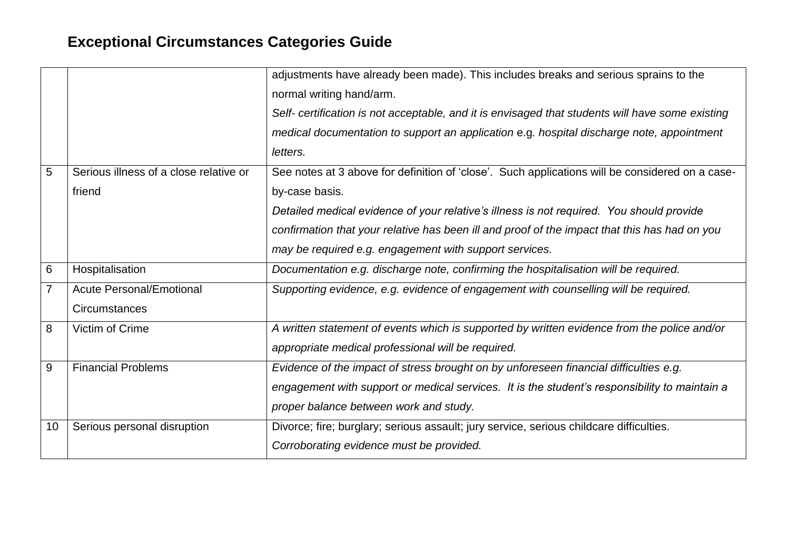|                |                                        | adjustments have already been made). This includes breaks and serious sprains to the             |
|----------------|----------------------------------------|--------------------------------------------------------------------------------------------------|
|                |                                        | normal writing hand/arm.                                                                         |
|                |                                        | Self- certification is not acceptable, and it is envisaged that students will have some existing |
|                |                                        | medical documentation to support an application e.g. hospital discharge note, appointment        |
|                |                                        | letters.                                                                                         |
| $5\phantom{1}$ | Serious illness of a close relative or | See notes at 3 above for definition of 'close'. Such applications will be considered on a case-  |
|                | friend                                 | by-case basis.                                                                                   |
|                |                                        | Detailed medical evidence of your relative's illness is not required. You should provide         |
|                |                                        | confirmation that your relative has been ill and proof of the impact that this has had on you    |
|                |                                        | may be required e.g. engagement with support services.                                           |
| 6              | Hospitalisation                        | Documentation e.g. discharge note, confirming the hospitalisation will be required.              |
| $\overline{7}$ | <b>Acute Personal/Emotional</b>        | Supporting evidence, e.g. evidence of engagement with counselling will be required.              |
|                | Circumstances                          |                                                                                                  |
| 8              | Victim of Crime                        | A written statement of events which is supported by written evidence from the police and/or      |
|                |                                        | appropriate medical professional will be required.                                               |
| 9              | <b>Financial Problems</b>              | Evidence of the impact of stress brought on by unforeseen financial difficulties e.g.            |
|                |                                        | engagement with support or medical services. It is the student's responsibility to maintain a    |
|                |                                        | proper balance between work and study.                                                           |
| 10             | Serious personal disruption            | Divorce; fire; burglary; serious assault; jury service, serious childcare difficulties.          |
|                |                                        | Corroborating evidence must be provided.                                                         |